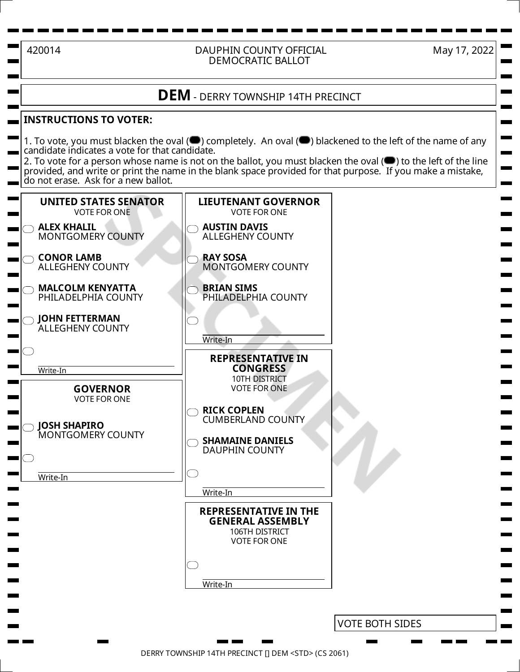## 420014 DAUPHIN COUNTY OFFICIAL DEMOCRATIC BALLOT

May 17, 2022

## **DEM** - DERRY TOWNSHIP 14TH PRECINCT

## **INSTRUCTIONS TO VOTER:**

1. To vote, you must blacken the oval ( $\blacksquare$ ) completely. An oval ( $\blacksquare$ ) blackened to the left of the name of any candidate indicates a vote for that candidate.

2. To vote for a person whose name is not on the ballot, you must blacken the oval  $(\blacksquare)$  to the left of the line provided, and write or print the name in the blank space provided for that purpose. If you make a mistake, do not erase. Ask for a new ballot.



VOTE BOTH SIDES